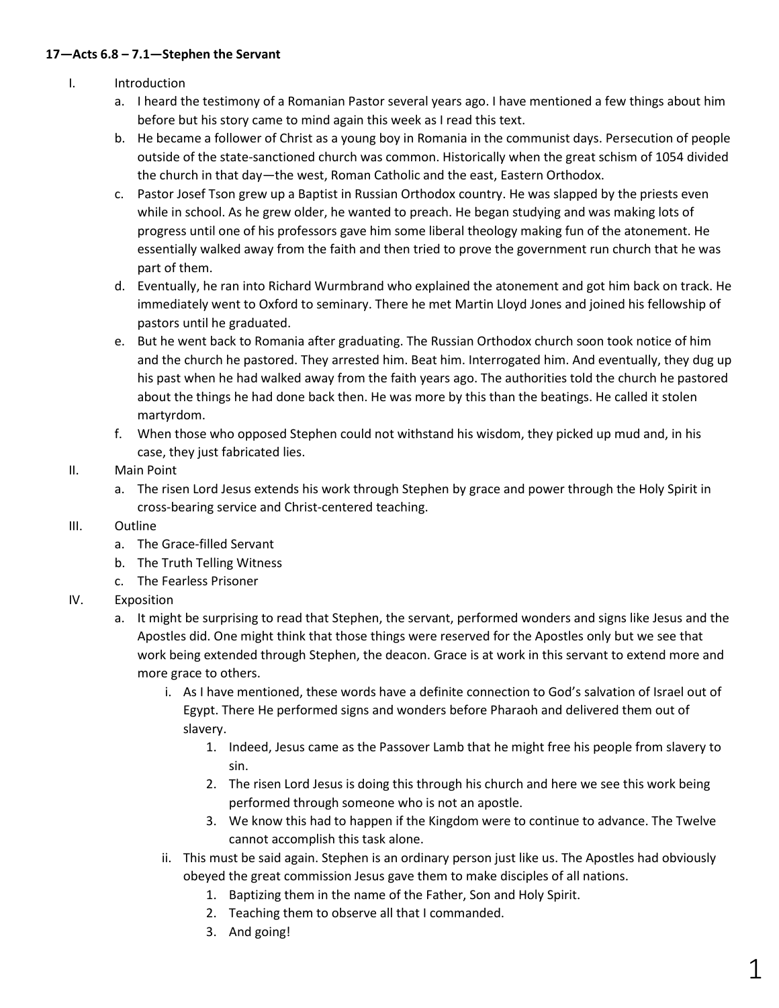### **17—Acts 6.8 – 7.1—Stephen the Servant**

- I. Introduction
	- a. I heard the testimony of a Romanian Pastor several years ago. I have mentioned a few things about him before but his story came to mind again this week as I read this text.
	- b. He became a follower of Christ as a young boy in Romania in the communist days. Persecution of people outside of the state-sanctioned church was common. Historically when the great schism of 1054 divided the church in that day—the west, Roman Catholic and the east, Eastern Orthodox.
	- c. Pastor Josef Tson grew up a Baptist in Russian Orthodox country. He was slapped by the priests even while in school. As he grew older, he wanted to preach. He began studying and was making lots of progress until one of his professors gave him some liberal theology making fun of the atonement. He essentially walked away from the faith and then tried to prove the government run church that he was part of them.
	- d. Eventually, he ran into Richard Wurmbrand who explained the atonement and got him back on track. He immediately went to Oxford to seminary. There he met Martin Lloyd Jones and joined his fellowship of pastors until he graduated.
	- e. But he went back to Romania after graduating. The Russian Orthodox church soon took notice of him and the church he pastored. They arrested him. Beat him. Interrogated him. And eventually, they dug up his past when he had walked away from the faith years ago. The authorities told the church he pastored about the things he had done back then. He was more by this than the beatings. He called it stolen martyrdom.
	- f. When those who opposed Stephen could not withstand his wisdom, they picked up mud and, in his case, they just fabricated lies.

# II. Main Point

a. The risen Lord Jesus extends his work through Stephen by grace and power through the Holy Spirit in cross-bearing service and Christ-centered teaching.

# III. Outline

- a. The Grace-filled Servant
- b. The Truth Telling Witness
- c. The Fearless Prisoner
- IV. Exposition
	- a. It might be surprising to read that Stephen, the servant, performed wonders and signs like Jesus and the Apostles did. One might think that those things were reserved for the Apostles only but we see that work being extended through Stephen, the deacon. Grace is at work in this servant to extend more and more grace to others.
		- i. As I have mentioned, these words have a definite connection to God's salvation of Israel out of Egypt. There He performed signs and wonders before Pharaoh and delivered them out of slavery.
			- 1. Indeed, Jesus came as the Passover Lamb that he might free his people from slavery to sin.
			- 2. The risen Lord Jesus is doing this through his church and here we see this work being performed through someone who is not an apostle.
			- 3. We know this had to happen if the Kingdom were to continue to advance. The Twelve cannot accomplish this task alone.
		- ii. This must be said again. Stephen is an ordinary person just like us. The Apostles had obviously obeyed the great commission Jesus gave them to make disciples of all nations.
			- 1. Baptizing them in the name of the Father, Son and Holy Spirit.
			- 2. Teaching them to observe all that I commanded.
			- 3. And going!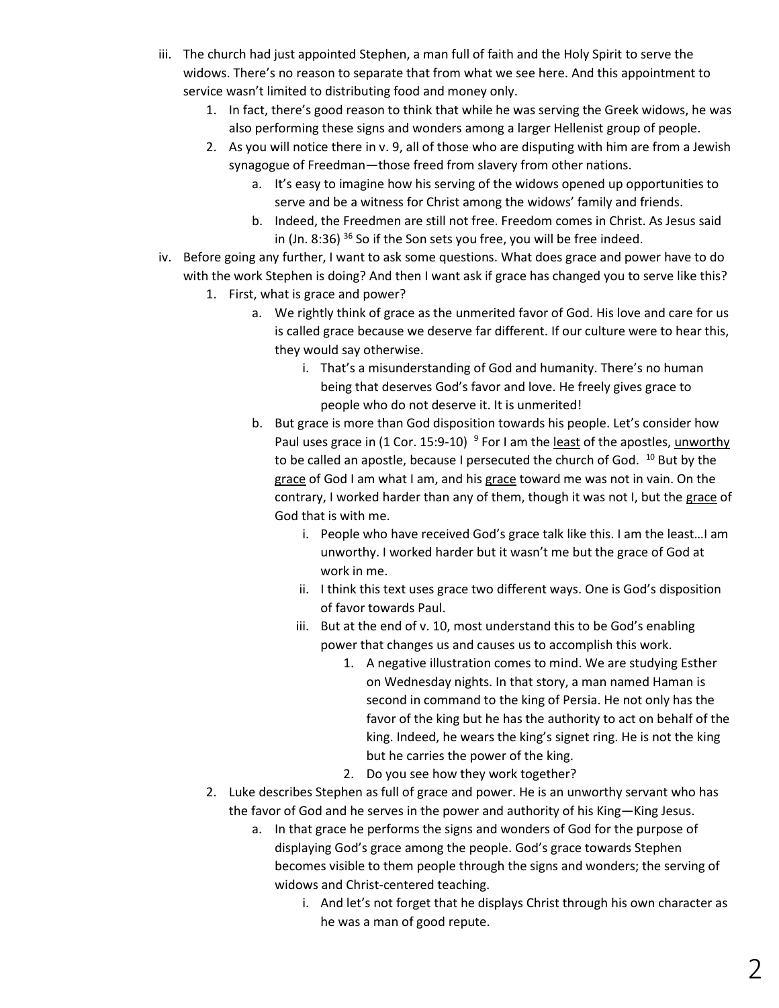- iii. The church had just appointed Stephen, a man full of faith and the Holy Spirit to serve the widows. There's no reason to separate that from what we see here. And this appointment to service wasn't limited to distributing food and money only.
	- 1. In fact, there's good reason to think that while he was serving the Greek widows, he was also performing these signs and wonders among a larger Hellenist group of people.
	- 2. As you will notice there in v. 9, all of those who are disputing with him are from a Jewish synagogue of Freedman—those freed from slavery from other nations.
		- a. It's easy to imagine how his serving of the widows opened up opportunities to serve and be a witness for Christ among the widows' family and friends.
		- b. Indeed, the Freedmen are still not free. Freedom comes in Christ. As Jesus said in (Jn. 8:36) <sup>36</sup> So if the Son sets you free, you will be free indeed.
- iv. Before going any further, I want to ask some questions. What does grace and power have to do with the work Stephen is doing? And then I want ask if grace has changed you to serve like this?
	- 1. First, what is grace and power?
		- a. We rightly think of grace as the unmerited favor of God. His love and care for us is called grace because we deserve far different. If our culture were to hear this, they would say otherwise.
			- i. That's a misunderstanding of God and humanity. There's no human being that deserves God's favor and love. He freely gives grace to people who do not deserve it. It is unmerited!
		- b. But grace is more than God disposition towards his people. Let's consider how Paul uses grace in (1 Cor. 15:9-10) <sup>9</sup> For I am the least of the apostles, unworthy to be called an apostle, because I persecuted the church of God. <sup>10</sup> But by the grace of God I am what I am, and his grace toward me was not in vain. On the contrary, I worked harder than any of them, though it was not I, but the grace of God that is with me.
			- i. People who have received God's grace talk like this. I am the least…I am unworthy. I worked harder but it wasn't me but the grace of God at work in me.
			- ii. I think this text uses grace two different ways. One is God's disposition of favor towards Paul.
			- iii. But at the end of v. 10, most understand this to be God's enabling power that changes us and causes us to accomplish this work.
				- 1. A negative illustration comes to mind. We are studying Esther on Wednesday nights. In that story, a man named Haman is second in command to the king of Persia. He not only has the favor of the king but he has the authority to act on behalf of the king. Indeed, he wears the king's signet ring. He is not the king but he carries the power of the king.
				- 2. Do you see how they work together?
	- 2. Luke describes Stephen as full of grace and power. He is an unworthy servant who has the favor of God and he serves in the power and authority of his King—King Jesus.
		- a. In that grace he performs the signs and wonders of God for the purpose of displaying God's grace among the people. God's grace towards Stephen becomes visible to them people through the signs and wonders; the serving of widows and Christ-centered teaching.
			- i. And let's not forget that he displays Christ through his own character as he was a man of good repute.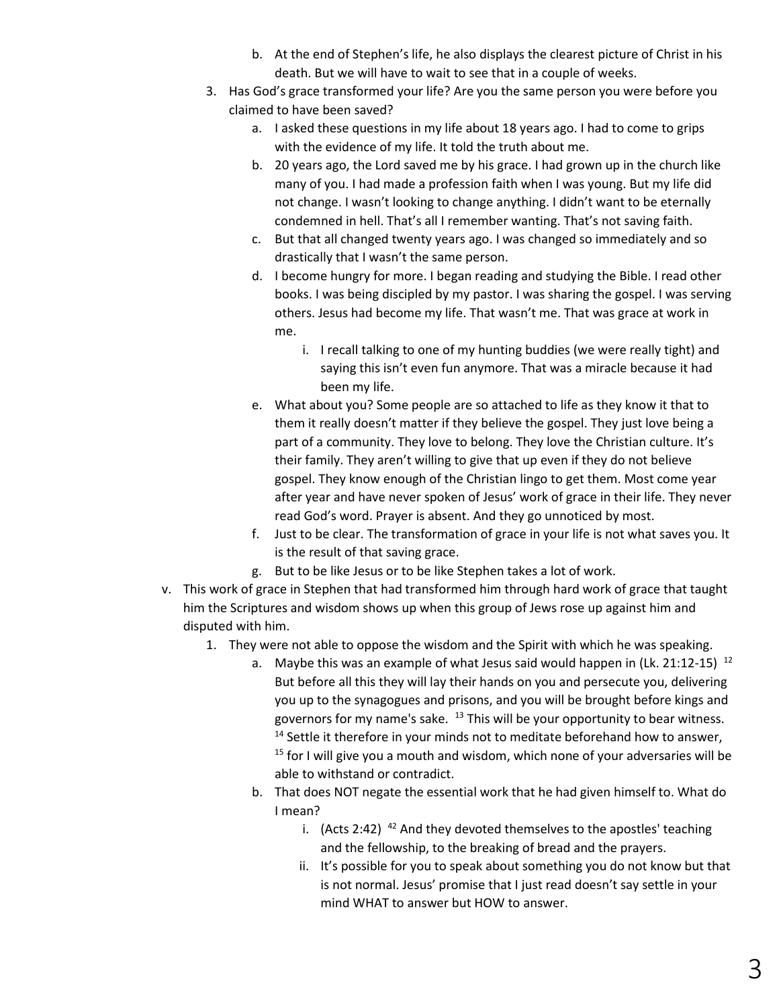- b. At the end of Stephen's life, he also displays the clearest picture of Christ in his death. But we will have to wait to see that in a couple of weeks.
- 3. Has God's grace transformed your life? Are you the same person you were before you claimed to have been saved?
	- a. I asked these questions in my life about 18 years ago. I had to come to grips with the evidence of my life. It told the truth about me.
	- b. 20 years ago, the Lord saved me by his grace. I had grown up in the church like many of you. I had made a profession faith when I was young. But my life did not change. I wasn't looking to change anything. I didn't want to be eternally condemned in hell. That's all I remember wanting. That's not saving faith.
	- c. But that all changed twenty years ago. I was changed so immediately and so drastically that I wasn't the same person.
	- d. I become hungry for more. I began reading and studying the Bible. I read other books. I was being discipled by my pastor. I was sharing the gospel. I was serving others. Jesus had become my life. That wasn't me. That was grace at work in me.
		- i. I recall talking to one of my hunting buddies (we were really tight) and saying this isn't even fun anymore. That was a miracle because it had been my life.
	- e. What about you? Some people are so attached to life as they know it that to them it really doesn't matter if they believe the gospel. They just love being a part of a community. They love to belong. They love the Christian culture. It's their family. They aren't willing to give that up even if they do not believe gospel. They know enough of the Christian lingo to get them. Most come year after year and have never spoken of Jesus' work of grace in their life. They never read God's word. Prayer is absent. And they go unnoticed by most.
	- f. Just to be clear. The transformation of grace in your life is not what saves you. It is the result of that saving grace.
	- g. But to be like Jesus or to be like Stephen takes a lot of work.
- v. This work of grace in Stephen that had transformed him through hard work of grace that taught him the Scriptures and wisdom shows up when this group of Jews rose up against him and disputed with him.
	- 1. They were not able to oppose the wisdom and the Spirit with which he was speaking.
		- a. Maybe this was an example of what Jesus said would happen in (Lk. 21:12-15)  $12$ But before all this they will lay their hands on you and persecute you, delivering you up to the synagogues and prisons, and you will be brought before kings and governors for my name's sake.  $13$  This will be your opportunity to bear witness.  $14$  Settle it therefore in your minds not to meditate beforehand how to answer,  $15$  for I will give you a mouth and wisdom, which none of your adversaries will be able to withstand or contradict.
		- b. That does NOT negate the essential work that he had given himself to. What do I mean?
			- i. (Acts 2:42)  $42$  And they devoted themselves to the apostles' teaching and the fellowship, to the breaking of bread and the prayers.
			- ii. It's possible for you to speak about something you do not know but that is not normal. Jesus' promise that I just read doesn't say settle in your mind WHAT to answer but HOW to answer.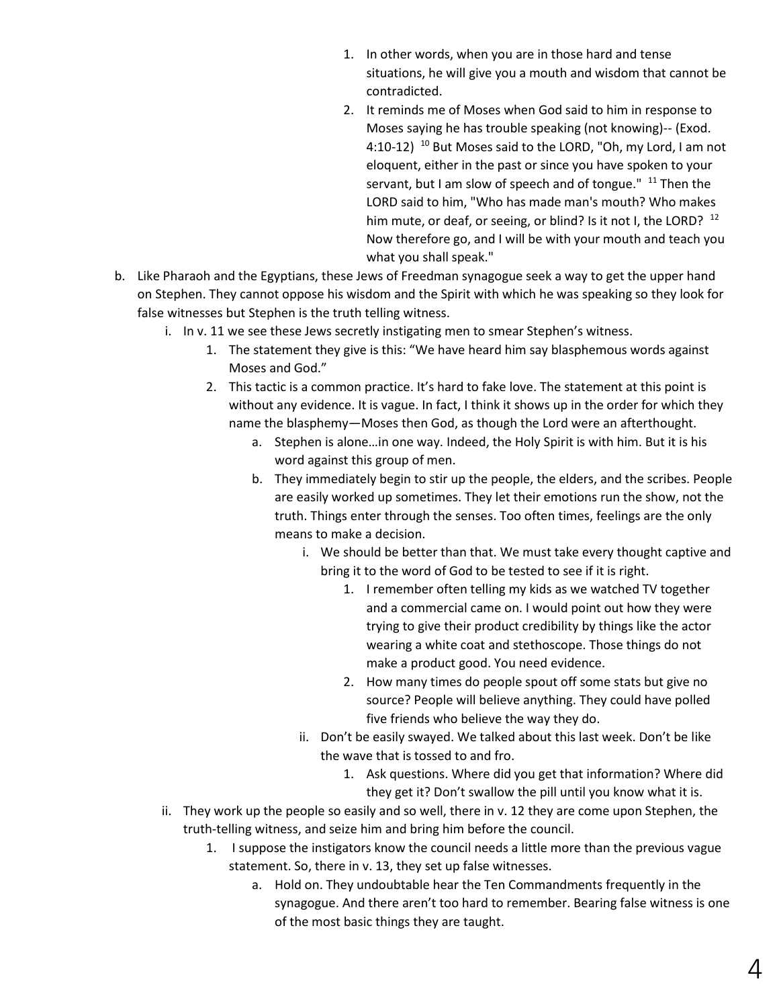- 1. In other words, when you are in those hard and tense situations, he will give you a mouth and wisdom that cannot be contradicted.
- 2. It reminds me of Moses when God said to him in response to Moses saying he has trouble speaking (not knowing)-- (Exod. 4:10-12)<sup>10</sup> But Moses said to the LORD, "Oh, my Lord, I am not eloquent, either in the past or since you have spoken to your servant, but I am slow of speech and of tongue." <sup>11</sup> Then the LORD said to him, "Who has made man's mouth? Who makes him mute, or deaf, or seeing, or blind? Is it not I, the LORD? <sup>12</sup> Now therefore go, and I will be with your mouth and teach you what you shall speak."
- b. Like Pharaoh and the Egyptians, these Jews of Freedman synagogue seek a way to get the upper hand on Stephen. They cannot oppose his wisdom and the Spirit with which he was speaking so they look for false witnesses but Stephen is the truth telling witness.
	- i. In v. 11 we see these Jews secretly instigating men to smear Stephen's witness.
		- 1. The statement they give is this: "We have heard him say blasphemous words against Moses and God."
		- 2. This tactic is a common practice. It's hard to fake love. The statement at this point is without any evidence. It is vague. In fact, I think it shows up in the order for which they name the blasphemy—Moses then God, as though the Lord were an afterthought.
			- a. Stephen is alone…in one way. Indeed, the Holy Spirit is with him. But it is his word against this group of men.
			- b. They immediately begin to stir up the people, the elders, and the scribes. People are easily worked up sometimes. They let their emotions run the show, not the truth. Things enter through the senses. Too often times, feelings are the only means to make a decision.
				- i. We should be better than that. We must take every thought captive and bring it to the word of God to be tested to see if it is right.
					- 1. I remember often telling my kids as we watched TV together and a commercial came on. I would point out how they were trying to give their product credibility by things like the actor wearing a white coat and stethoscope. Those things do not make a product good. You need evidence.
					- 2. How many times do people spout off some stats but give no source? People will believe anything. They could have polled five friends who believe the way they do.
				- ii. Don't be easily swayed. We talked about this last week. Don't be like the wave that is tossed to and fro.
					- 1. Ask questions. Where did you get that information? Where did they get it? Don't swallow the pill until you know what it is.
	- ii. They work up the people so easily and so well, there in v. 12 they are come upon Stephen, the truth-telling witness, and seize him and bring him before the council.
		- 1. I suppose the instigators know the council needs a little more than the previous vague statement. So, there in v. 13, they set up false witnesses.
			- a. Hold on. They undoubtable hear the Ten Commandments frequently in the synagogue. And there aren't too hard to remember. Bearing false witness is one of the most basic things they are taught.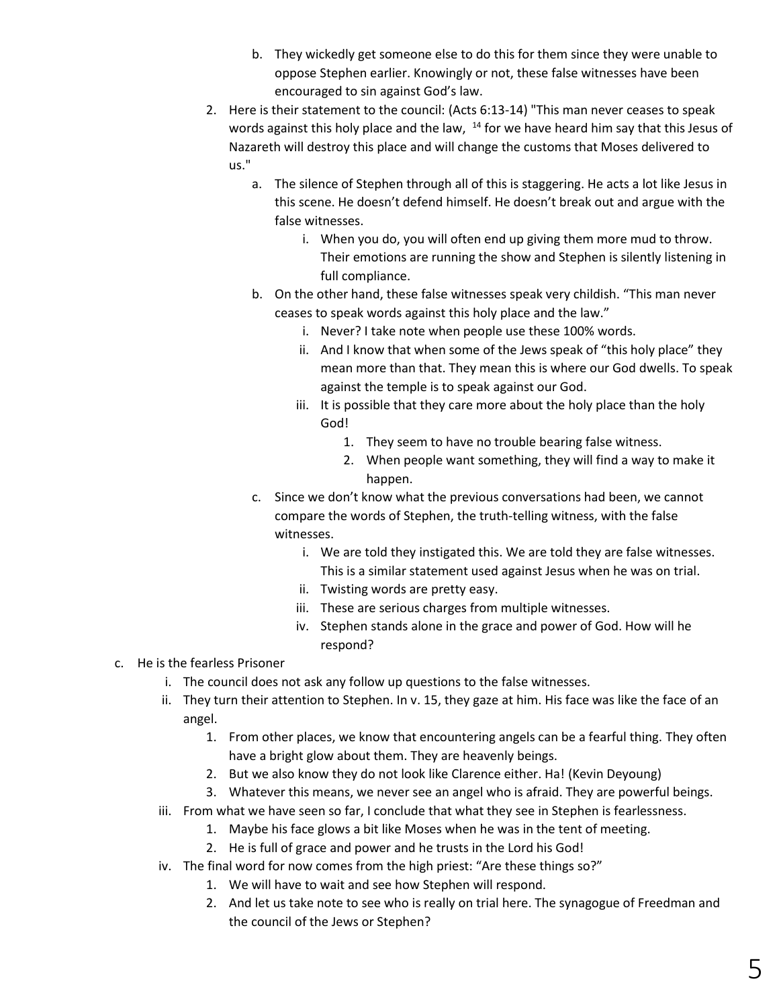- b. They wickedly get someone else to do this for them since they were unable to oppose Stephen earlier. Knowingly or not, these false witnesses have been encouraged to sin against God's law.
- 2. Here is their statement to the council: (Acts 6:13-14) "This man never ceases to speak words against this holy place and the law,  $14$  for we have heard him say that this Jesus of Nazareth will destroy this place and will change the customs that Moses delivered to us."
	- a. The silence of Stephen through all of this is staggering. He acts a lot like Jesus in this scene. He doesn't defend himself. He doesn't break out and argue with the false witnesses.
		- i. When you do, you will often end up giving them more mud to throw. Their emotions are running the show and Stephen is silently listening in full compliance.
	- b. On the other hand, these false witnesses speak very childish. "This man never ceases to speak words against this holy place and the law."
		- i. Never? I take note when people use these 100% words.
		- ii. And I know that when some of the Jews speak of "this holy place" they mean more than that. They mean this is where our God dwells. To speak against the temple is to speak against our God.
		- iii. It is possible that they care more about the holy place than the holy God!
			- 1. They seem to have no trouble bearing false witness.
			- 2. When people want something, they will find a way to make it happen.
	- c. Since we don't know what the previous conversations had been, we cannot compare the words of Stephen, the truth-telling witness, with the false witnesses.
		- i. We are told they instigated this. We are told they are false witnesses. This is a similar statement used against Jesus when he was on trial.
		- ii. Twisting words are pretty easy.
		- iii. These are serious charges from multiple witnesses.
		- iv. Stephen stands alone in the grace and power of God. How will he respond?

# c. He is the fearless Prisoner

- i. The council does not ask any follow up questions to the false witnesses.
- ii. They turn their attention to Stephen. In v. 15, they gaze at him. His face was like the face of an angel.
	- 1. From other places, we know that encountering angels can be a fearful thing. They often have a bright glow about them. They are heavenly beings.
	- 2. But we also know they do not look like Clarence either. Ha! (Kevin Deyoung)
	- 3. Whatever this means, we never see an angel who is afraid. They are powerful beings.
- iii. From what we have seen so far, I conclude that what they see in Stephen is fearlessness.
	- 1. Maybe his face glows a bit like Moses when he was in the tent of meeting.
	- 2. He is full of grace and power and he trusts in the Lord his God!
- iv. The final word for now comes from the high priest: "Are these things so?"
	- 1. We will have to wait and see how Stephen will respond.
	- 2. And let us take note to see who is really on trial here. The synagogue of Freedman and the council of the Jews or Stephen?